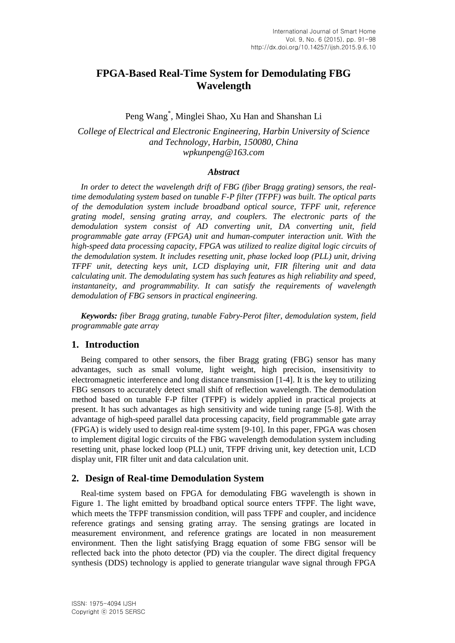# **FPGA-Based Real-Time System for Demodulating FBG Wavelength**

Peng Wang\* , Minglei Shao, Xu Han and Shanshan Li

*College of Electrical and Electronic Engineering, Harbin University of Science and Technology, Harbin, 150080, China wpkunpeng@163.com*

#### *Abstract*

*In order to detect the wavelength drift of FBG (fiber Bragg grating) sensors, the realtime demodulating system based on tunable F-P filter (TFPF) was built. The optical parts of the demodulation system include broadband optical source, TFPF unit, reference grating model, sensing grating array, and couplers. The electronic parts of the demodulation system consist of AD converting unit, DA converting unit, field programmable gate array (FPGA) unit and human-computer interaction unit. With the high-speed data processing capacity, FPGA was utilized to realize digital logic circuits of the demodulation system. It includes resetting unit, phase locked loop (PLL) unit, driving TFPF unit, detecting keys unit, LCD displaying unit, FIR filtering unit and data calculating unit. The demodulating system has such features as high reliability and speed, instantaneity, and programmability. It can satisfy the requirements of wavelength demodulation of FBG sensors in practical engineering.*

*Keywords: fiber Bragg grating, tunable Fabry-Perot filter, demodulation system, field programmable gate array*

#### **1. Introduction**

Being compared to other sensors, the fiber Bragg grating (FBG) sensor has many advantages, such as small volume, light weight, high precision, insensitivity to electromagnetic interference and long distance transmission [1-4]. It is the key to utilizing FBG sensors to accurately detect small shift of reflection wavelength. The demodulation method based on tunable F-P filter (TFPF) is widely applied in practical projects at present. It has such advantages as high sensitivity and wide tuning range [5-8]. With the advantage of high-speed parallel data processing capacity, field programmable gate array (FPGA) is widely used to design real-time system [9-10]. In this paper, FPGA was chosen to implement digital logic circuits of the FBG wavelength demodulation system including resetting unit, phase locked loop (PLL) unit, TFPF driving unit, key detection unit, LCD display unit, FIR filter unit and data calculation unit.

#### **2. Design of Real-time Demodulation System**

Real-time system based on FPGA for demodulating FBG wavelength is shown in Figure 1. The light emitted by broadband optical source enters TFPF. The light wave, which meets the TFPF transmission condition, will pass TFPF and coupler, and incidence reference gratings and sensing grating array. The sensing gratings are located in measurement environment, and reference gratings are located in non measurement environment. Then the light satisfying Bragg equation of some FBG sensor will be reflected back into the photo detector (PD) via the coupler. The direct digital frequency synthesis (DDS) technology is applied to generate triangular wave signal through FPGA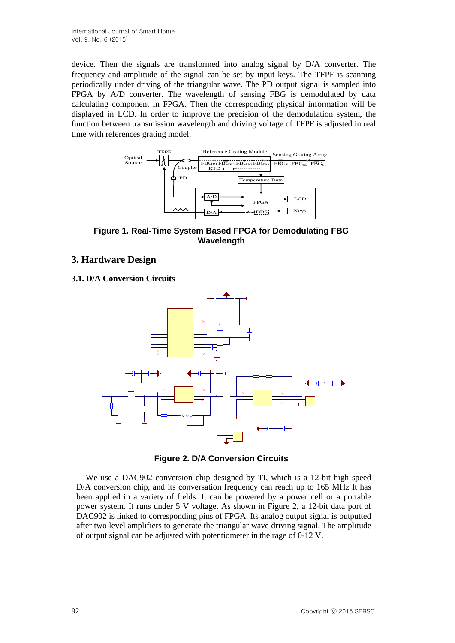device. Then the signals are transformed into analog signal by D/A converter. The frequency and amplitude of the signal can be set by input keys. The TFPF is scanning periodically under driving of the triangular wave. The PD output signal is sampled into FPGA by A/D converter. The wavelength of sensing FBG is demodulated by data calculating component in FPGA. Then the corresponding physical information will be displayed in LCD. In order to improve the precision of the demodulation system, the function between transmission wavelength and driving voltage of TFPF is adjusted in real time with references grating model.



**Figure 1. Real-Time System Based FPGA for Demodulating FBG Wavelength**

# **3. Hardware Design**

**3.1. D/A Conversion Circuits**



**Figure 2. D/A Conversion Circuits**

We use a DAC902 conversion chip designed by TI, which is a 12-bit high speed D/A conversion chip, and its conversation frequency can reach up to 165 MHz It has been applied in a variety of fields. It can be powered by a power cell or a portable power system. It runs under 5 V voltage. As shown in Figure 2, a 12-bit data port of DAC902 is linked to corresponding pins of FPGA. Its analog output signal is outputted after two level amplifiers to generate the triangular wave driving signal. The amplitude of output signal can be adjusted with potentiometer in the rage of 0-12 V.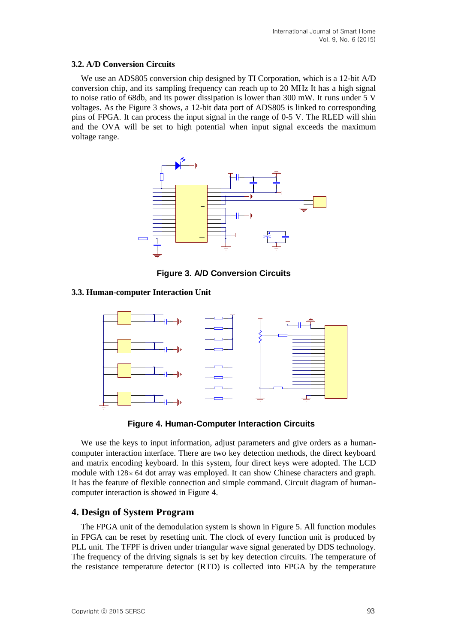### **3.2. A/D Conversion Circuits**

We use an ADS805 conversion chip designed by TI Corporation, which is a 12-bit A/D conversion chip, and its sampling frequency can reach up to 20 MHz It has a high signal to noise ratio of 68db, and its power dissipation is lower than 300 mW. It runs under 5 V voltages. As the Figure 3 shows, a 12-bit data port of ADS805 is linked to corresponding pins of FPGA. It can process the input signal in the range of 0-5 V. The RLED will shin and the OVA will be set to high potential when input signal exceeds the maximum voltage range.



**Figure 3. A/D Conversion Circuits**

### **3.3. Human-computer Interaction Unit**



**Figure 4. Human-Computer Interaction Circuits**

We use the keys to input information, adjust parameters and give orders as a humancomputer interaction interface. There are two key detection methods, the direct keyboard and matrix encoding keyboard. In this system, four direct keys were adopted. The LCD module with  $128 \times 64$  dot array was employed. It can show Chinese characters and graph. It has the feature of flexible connection and simple command. Circuit diagram of humancomputer interaction is showed in Figure 4.

# **4. Design of System Program**

The FPGA unit of the demodulation system is shown in Figure 5. All function modules in FPGA can be reset by resetting unit. The clock of every function unit is produced by PLL unit. The TFPF is driven under triangular wave signal generated by DDS technology. The frequency of the driving signals is set by key detection circuits. The temperature of the resistance temperature detector (RTD) is collected into FPGA by the temperature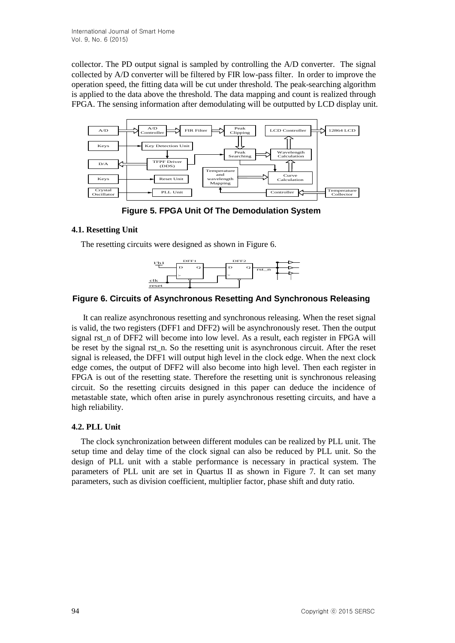collector. The PD output signal is sampled by controlling the A/D converter. The signal collected by A/D converter will be filtered by FIR low-pass filter. In order to improve the operation speed, the fitting data will be cut under threshold. The peak-searching algorithm is applied to the data above the threshold. The data mapping and count is realized through FPGA. The sensing information after demodulating will be outputted by LCD display unit.



**Figure 5. FPGA Unit Of The Demodulation System**

### **4.1. Resetting Unit**

The resetting circuits were designed as shown in Figure 6.



### **Figure 6. Circuits of Asynchronous Resetting And Synchronous Releasing**

It can realize asynchronous resetting and synchronous releasing. When the reset signal is valid, the two registers (DFF1 and DFF2) will be asynchronously reset. Then the output signal rst\_n of DFF2 will become into low level. As a result, each register in FPGA will be reset by the signal rst n. So the resetting unit is asynchronous circuit. After the reset signal is released, the DFF1 will output high level in the clock edge. When the next clock edge comes, the output of DFF2 will also become into high level. Then each register in FPGA is out of the resetting state. Therefore the resetting unit is synchronous releasing circuit. So the resetting circuits designed in this paper can deduce the incidence of metastable state, which often arise in purely asynchronous resetting circuits, and have a high reliability.

### **4.2. PLL Unit**

The clock synchronization between different modules can be realized by PLL unit. The setup time and delay time of the clock signal can also be reduced by PLL unit. So the design of PLL unit with a stable performance is necessary in practical system. The parameters of PLL unit are set in Quartus II as shown in Figure 7. It can set many parameters, such as division coefficient, multiplier factor, phase shift and duty ratio.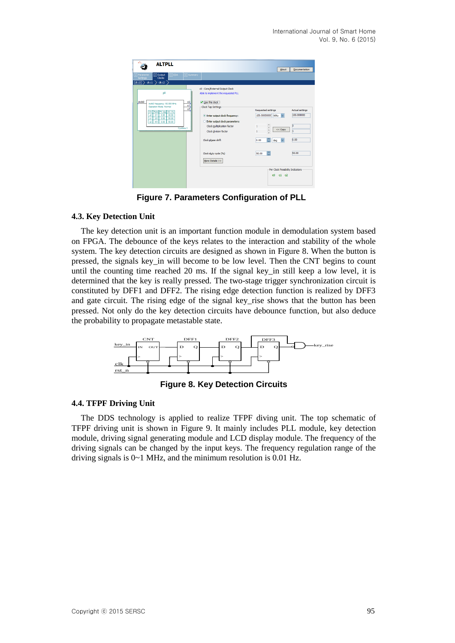| <b>ALTPLL</b>                                               |                                      | About<br>Documentation                              |
|-------------------------------------------------------------|--------------------------------------|-----------------------------------------------------|
| 2 Output<br>$\sqrt{3}$ EDA<br>Parameter                     | 4 Summary                            |                                                     |
| Clocks<br><b>Settinas</b>                                   |                                      |                                                     |
| dkc2<br>$\vert d k c 0 \vert$ $\rangle$ $d k c 1$ $\rangle$ |                                      |                                                     |
|                                                             | c0 - Core/External Output Clock      |                                                     |
| pll                                                         | Able to implement the requested PLL  |                                                     |
| inclk0<br>inclk0 frequency: 50,000 MHz                      | ■ Use this clock                     |                                                     |
| Operation Mode: Normal                                      | ala<br>Clock Tap Settings            |                                                     |
| Clk Ratio Ph (dg) DC (%)                                    |                                      | <b>Requested settings</b><br><b>Actual settings</b> |
| 50.00<br>2/1<br>0.00<br>c0<br>2/5<br>0.00<br>50.00<br>o1    | <b>Enter output dock frequency:</b>  | 100,000000<br>100.00000000 MHz ~                    |
| 4/5<br>0.00<br>62<br>50.00                                  | <b>Enter output dock parameters:</b> |                                                     |
| Cyclone II                                                  | Clock multiplication factor          | $\hat{\phantom{a}}$<br>2<br>$<<$ Copy               |
|                                                             | Clock division factor                | $\hat{C}$<br>ī<br>5                                 |
|                                                             | Clock phase shift                    | $\frac{\wedge}{\vee}$<br>0.00<br>0.00<br>deg        |
|                                                             |                                      |                                                     |
|                                                             |                                      |                                                     |
|                                                             | Clock duty cycle (%)                 | ÷<br>50.00<br>50.00                                 |
|                                                             | More Details >>                      |                                                     |
|                                                             |                                      |                                                     |
|                                                             |                                      | Per Clock Feasibility Indicators                    |
|                                                             |                                      | $c0$ $c1$ $c2$                                      |
|                                                             |                                      |                                                     |
|                                                             |                                      |                                                     |

**Figure 7. Parameters Configuration of PLL**

### **4.3. Key Detection Unit**

The key detection unit is an important function module in demodulation system based on FPGA. The debounce of the keys relates to the interaction and stability of the whole system. The key detection circuits are designed as shown in Figure 8. When the button is pressed, the signals key\_in will become to be low level. Then the CNT begins to count until the counting time reached 20 ms. If the signal key\_in still keep a low level, it is determined that the key is really pressed. The two-stage trigger synchronization circuit is constituted by DFF1 and DFF2. The rising edge detection function is realized by DFF3 and gate circuit. The rising edge of the signal key\_rise shows that the button has been pressed. Not only do the key detection circuits have debounce function, but also deduce the probability to propagate metastable state.



**Figure 8. Key Detection Circuits**

### **4.4. TFPF Driving Unit**

The DDS technology is applied to realize TFPF diving unit. The top schematic of TFPF driving unit is shown in Figure 9. It mainly includes PLL module, key detection module, driving signal generating module and LCD display module. The frequency of the driving signals can be changed by the input keys. The frequency regulation range of the driving signals is 0~1 MHz, and the minimum resolution is 0.01 Hz.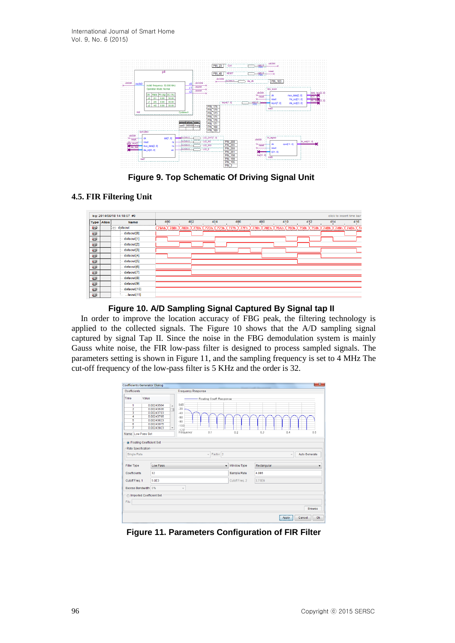

**Figure 9. Top Schematic Of Driving Signal Unit**

### **4.5. FIR Filtering Unit**

|               |       | log: 2014/06/18 14:18:57 #0                                                                                                                                                                                                                                                                                 |              |        |     |     |     |                                                                                                  |     | click to insert time bar |           |
|---------------|-------|-------------------------------------------------------------------------------------------------------------------------------------------------------------------------------------------------------------------------------------------------------------------------------------------------------------|--------------|--------|-----|-----|-----|--------------------------------------------------------------------------------------------------|-----|--------------------------|-----------|
| <b>Type</b>   | Alias | <b>Name</b>                                                                                                                                                                                                                                                                                                 | 400          | 402    | 404 | 406 | 408 | 410                                                                                              | 412 | 414                      | 416       |
| $\bullet$     |       | <b>⊟</b> dataout                                                                                                                                                                                                                                                                                            | (79Ah)(788h) | X 78Dh |     |     |     | <u>(778h )(77Dh )(773h )(777h )(77Fh )(776h )(76Eh )(76Ah )(760h )(756h )(750h )(74Bh )(749h</u> |     |                          | 748h X 74 |
| $\Rightarrow$ |       | dataout[0]                                                                                                                                                                                                                                                                                                  |              |        |     |     |     |                                                                                                  |     |                          |           |
| $\Rightarrow$ |       | dataout[1]                                                                                                                                                                                                                                                                                                  |              |        |     |     |     |                                                                                                  |     |                          |           |
| $\Rightarrow$ |       | dataout <sup>[2]</sup>                                                                                                                                                                                                                                                                                      |              |        |     |     |     |                                                                                                  |     |                          |           |
| $\Rightarrow$ |       | dataout <sup>[3]</sup>                                                                                                                                                                                                                                                                                      |              |        |     |     |     |                                                                                                  |     |                          |           |
| $\Rightarrow$ |       | dataout[4]                                                                                                                                                                                                                                                                                                  |              |        |     |     |     |                                                                                                  |     |                          |           |
| $\Rightarrow$ |       | dataout <sup>[5]</sup>                                                                                                                                                                                                                                                                                      |              |        |     |     |     |                                                                                                  |     |                          |           |
| $\Rightarrow$ |       | dataout[6]                                                                                                                                                                                                                                                                                                  |              |        |     |     |     |                                                                                                  |     |                          |           |
| $\Rightarrow$ |       | dataout <sup>[7]</sup>                                                                                                                                                                                                                                                                                      |              |        |     |     |     |                                                                                                  |     |                          |           |
| $\Rightarrow$ |       | dataout[8]                                                                                                                                                                                                                                                                                                  |              |        |     |     |     |                                                                                                  |     |                          |           |
| $\Rightarrow$ |       | dataout <sup>[9]</sup>                                                                                                                                                                                                                                                                                      |              |        |     |     |     |                                                                                                  |     |                          |           |
| $\Rightarrow$ |       | dataout[10]                                                                                                                                                                                                                                                                                                 |              |        |     |     |     |                                                                                                  |     |                          |           |
| $\Rightarrow$ |       | $$ $\text{.}$ $\text{.}$ $\text{.}$ $\text{.}$ $\text{.}$ $\text{.}$ $\text{.}$ $\text{.}$ $\text{.}$ $\text{.}$ $\text{.}$ $\text{.}$ $\text{.}$ $\text{.}$ $\text{.}$ $\text{.}$ $\text{.}$ $\text{.}$ $\text{.}$ $\text{.}$ $\text{.}$ $\text{.}$ $\text{.}$ $\text{.}$ $\text{.}$ $\text{.}$ $\text{.}$ |              |        |     |     |     |                                                                                                  |     |                          |           |

### **Figure 10. A/D Sampling Signal Captured By Signal tap II**

In order to improve the location accuracy of FBG peak, the filtering technology is applied to the collected signals. The Figure 10 shows that the A/D sampling signal captured by signal Tap II. Since the noise in the FBG demodulation system is mainly Gauss white noise, the FIR low-pass filter is designed to process sampled signals. The parameters setting is shown in Figure 11, and the sampling frequency is set to 4 MHz The cut-off frequency of the low-pass filter is 5 KHz and the order is 32.

| <b>Coefficients Generator Dialog</b>                             |                                                                          |                                                              |                |                  | $\mathbf{x}$                             |  |  |
|------------------------------------------------------------------|--------------------------------------------------------------------------|--------------------------------------------------------------|----------------|------------------|------------------------------------------|--|--|
| Coefficients                                                     |                                                                          | <b>Frequency Response</b>                                    |                |                  |                                          |  |  |
| Time<br>Value<br>1<br>$\overline{2}$<br>3<br>4                   | 0.00243564<br>$\blacktriangle$<br>0.00243636<br>0.00243703<br>0.00243765 | - Floating Coeff, Response<br>OdB<br>$-20$<br>$-40$<br>$-60$ |                |                  |                                          |  |  |
| 5<br>6<br>7<br>Name Low Pass Set                                 | 0.00243823<br>0.00243875<br>0.00243923<br>$\overline{\phantom{a}}$       | $-80$<br>$-100$<br>$-120$<br>0.1<br>Frequency                | 0.2            | 0.3              | 0.4<br>0.5                               |  |  |
| C Floating Coefficient Set<br>Rate Specification:<br>Single Rate |                                                                          | Factor 2<br>$\mathbf{v}$                                     |                |                  | Auto Generate<br>$\overline{\mathbf{v}}$ |  |  |
| <b>Filter Type</b>                                               | Low Pass                                                                 | $\overline{\phantom{a}}$                                     | Window Type    | Rectangular<br>٠ |                                          |  |  |
| 32<br>Coefficients                                               |                                                                          |                                                              | Sample Rate    | 4.0E6            |                                          |  |  |
| Cutoff Freq. 1                                                   | 5.0E3                                                                    |                                                              | Cutoff Freq. 2 | 3.75E6           |                                          |  |  |
| Excess Bandwidth 0%                                              |                                                                          | $\overline{\phantom{a}}$                                     |                |                  |                                          |  |  |
| Imported Coefficient Set<br>File                                 |                                                                          |                                                              |                |                  | <b>Browse</b>                            |  |  |
|                                                                  |                                                                          |                                                              |                |                  | <b>Ok</b><br>Cancel<br>Apply             |  |  |

**Figure 11. Parameters Configuration of FIR Filter**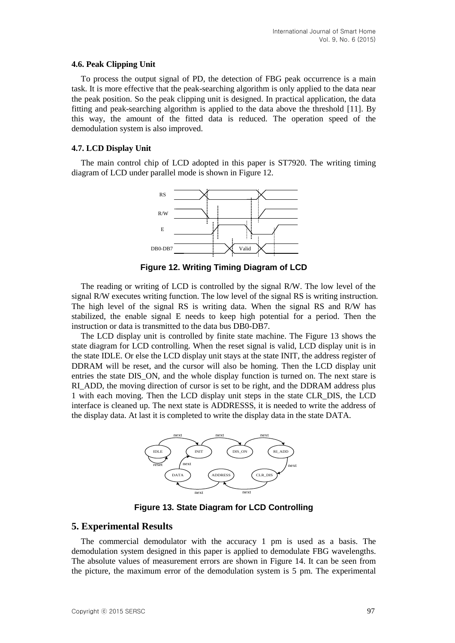#### **4.6. Peak Clipping Unit**

To process the output signal of PD, the detection of FBG peak occurrence is a main task. It is more effective that the peak-searching algorithm is only applied to the data near the peak position. So the peak clipping unit is designed. In practical application, the data fitting and peak-searching algorithm is applied to the data above the threshold [11]. By this way, the amount of the fitted data is reduced. The operation speed of the demodulation system is also improved.

#### **4.7. LCD Display Unit**

The main control chip of LCD adopted in this paper is ST7920. The writing timing diagram of LCD under parallel mode is shown in Figure 12.



**Figure 12. Writing Timing Diagram of LCD**

The reading or writing of LCD is controlled by the signal R/W. The low level of the signal R/W executes writing function. The low level of the signal RS is writing instruction. The high level of the signal RS is writing data. When the signal RS and R/W has stabilized, the enable signal E needs to keep high potential for a period. Then the instruction or data is transmitted to the data bus DB0-DB7.

The LCD display unit is controlled by finite state machine. The Figure 13 shows the state diagram for LCD controlling. When the reset signal is valid, LCD display unit is in the state IDLE. Or else the LCD display unit stays at the state INIT, the address register of DDRAM will be reset, and the cursor will also be homing. Then the LCD display unit entries the state DIS\_ON, and the whole display function is turned on. The next stare is RI ADD, the moving direction of cursor is set to be right, and the DDRAM address plus 1 with each moving. Then the LCD display unit steps in the state CLR\_DIS, the LCD interface is cleaned up. The next state is ADDRESSS, it is needed to write the address of the display data. At last it is completed to write the display data in the state DATA.



**Figure 13. State Diagram for LCD Controlling**

#### **5. Experimental Results**

The commercial demodulator with the accuracy 1 pm is used as a basis. The demodulation system designed in this paper is applied to demodulate FBG wavelengths. The absolute values of measurement errors are shown in Figure 14. It can be seen from the picture, the maximum error of the demodulation system is 5 pm. The experimental